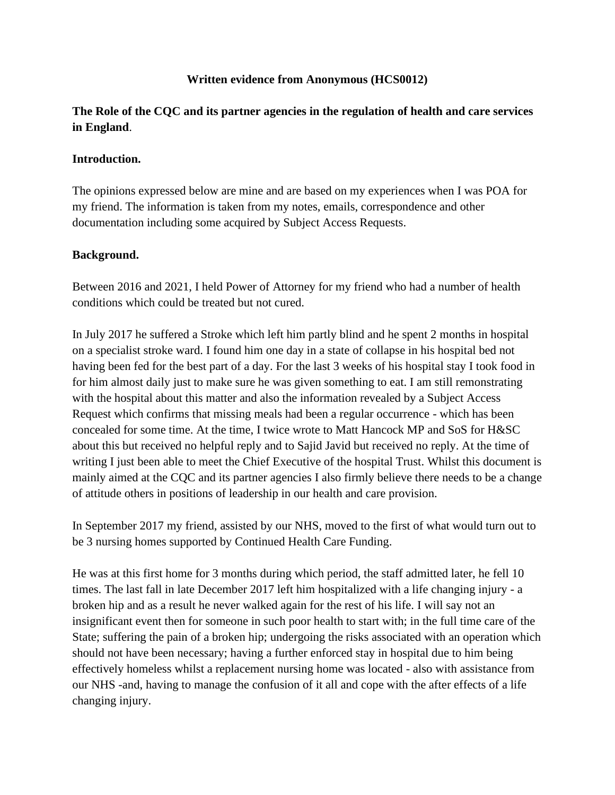### **Written evidence from Anonymous (HCS0012)**

**The Role of the CQC and its partner agencies in the regulation of health and care services in England**.

#### **Introduction.**

The opinions expressed below are mine and are based on my experiences when I was POA for my friend. The information is taken from my notes, emails, correspondence and other documentation including some acquired by Subject Access Requests.

### **Background.**

Between 2016 and 2021, I held Power of Attorney for my friend who had a number of health conditions which could be treated but not cured.

In July 2017 he suffered a Stroke which left him partly blind and he spent 2 months in hospital on a specialist stroke ward. I found him one day in a state of collapse in his hospital bed not having been fed for the best part of a day. For the last 3 weeks of his hospital stay I took food in for him almost daily just to make sure he was given something to eat. I am still remonstrating with the hospital about this matter and also the information revealed by a Subject Access Request which confirms that missing meals had been a regular occurrence - which has been concealed for some time. At the time, I twice wrote to Matt Hancock MP and SoS for H&SC about this but received no helpful reply and to Sajid Javid but received no reply. At the time of writing I just been able to meet the Chief Executive of the hospital Trust. Whilst this document is mainly aimed at the CQC and its partner agencies I also firmly believe there needs to be a change of attitude others in positions of leadership in our health and care provision.

In September 2017 my friend, assisted by our NHS, moved to the first of what would turn out to be 3 nursing homes supported by Continued Health Care Funding.

He was at this first home for 3 months during which period, the staff admitted later, he fell 10 times. The last fall in late December 2017 left him hospitalized with a life changing injury - a broken hip and as a result he never walked again for the rest of his life. I will say not an insignificant event then for someone in such poor health to start with; in the full time care of the State; suffering the pain of a broken hip; undergoing the risks associated with an operation which should not have been necessary; having a further enforced stay in hospital due to him being effectively homeless whilst a replacement nursing home was located - also with assistance from our NHS -and, having to manage the confusion of it all and cope with the after effects of a life changing injury.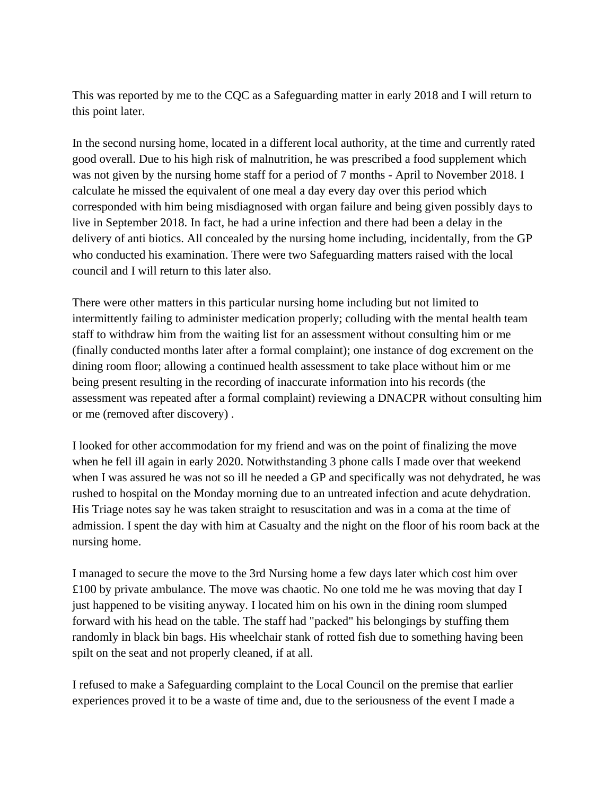This was reported by me to the CQC as a Safeguarding matter in early 2018 and I will return to this point later.

In the second nursing home, located in a different local authority, at the time and currently rated good overall. Due to his high risk of malnutrition, he was prescribed a food supplement which was not given by the nursing home staff for a period of 7 months - April to November 2018. I calculate he missed the equivalent of one meal a day every day over this period which corresponded with him being misdiagnosed with organ failure and being given possibly days to live in September 2018. In fact, he had a urine infection and there had been a delay in the delivery of anti biotics. All concealed by the nursing home including, incidentally, from the GP who conducted his examination. There were two Safeguarding matters raised with the local council and I will return to this later also.

There were other matters in this particular nursing home including but not limited to intermittently failing to administer medication properly; colluding with the mental health team staff to withdraw him from the waiting list for an assessment without consulting him or me (finally conducted months later after a formal complaint); one instance of dog excrement on the dining room floor; allowing a continued health assessment to take place without him or me being present resulting in the recording of inaccurate information into his records (the assessment was repeated after a formal complaint) reviewing a DNACPR without consulting him or me (removed after discovery) .

I looked for other accommodation for my friend and was on the point of finalizing the move when he fell ill again in early 2020. Notwithstanding 3 phone calls I made over that weekend when I was assured he was not so ill he needed a GP and specifically was not dehydrated, he was rushed to hospital on the Monday morning due to an untreated infection and acute dehydration. His Triage notes say he was taken straight to resuscitation and was in a coma at the time of admission. I spent the day with him at Casualty and the night on the floor of his room back at the nursing home.

I managed to secure the move to the 3rd Nursing home a few days later which cost him over £100 by private ambulance. The move was chaotic. No one told me he was moving that day I just happened to be visiting anyway. I located him on his own in the dining room slumped forward with his head on the table. The staff had "packed" his belongings by stuffing them randomly in black bin bags. His wheelchair stank of rotted fish due to something having been spilt on the seat and not properly cleaned, if at all.

I refused to make a Safeguarding complaint to the Local Council on the premise that earlier experiences proved it to be a waste of time and, due to the seriousness of the event I made a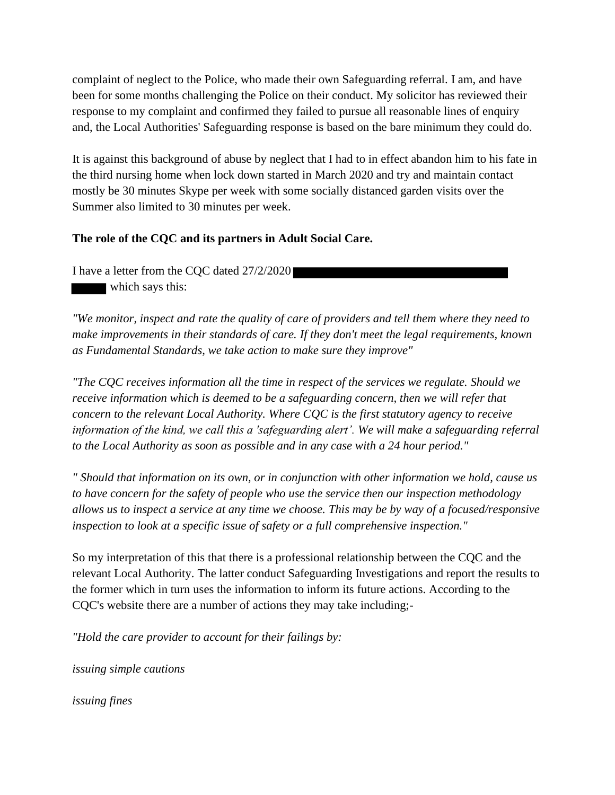complaint of neglect to the Police, who made their own Safeguarding referral. I am, and have been for some months challenging the Police on their conduct. My solicitor has reviewed their response to my complaint and confirmed they failed to pursue all reasonable lines of enquiry and, the Local Authorities' Safeguarding response is based on the bare minimum they could do.

It is against this background of abuse by neglect that I had to in effect abandon him to his fate in the third nursing home when lock down started in March 2020 and try and maintain contact mostly be 30 minutes Skype per week with some socially distanced garden visits over the Summer also limited to 30 minutes per week.

# **The role of the CQC and its partners in Adult Social Care.**

I have a letter from the CQC dated 27/2/2020 which says this:

*"We monitor, inspect and rate the quality of care of providers and tell them where they need to make improvements in their standards of care. If they don't meet the legal requirements, known as Fundamental Standards, we take action to make sure they improve"*

*"The CQC receives information all the time in respect of the services we regulate. Should we receive information which is deemed to be a safeguarding concern, then we will refer that concern to the relevant Local Authority. Where CQC is the first statutory agency to receive information of the kind, we call this a 'safeguarding alert'. We will make a safeguarding referral to the Local Authority as soon as possible and in any case with a 24 hour period."*

*" Should that information on its own, or in conjunction with other information we hold, cause us to have concern for the safety of people who use the service then our inspection methodology allows us to inspect a service at any time we choose. This may be by way of a focused/responsive inspection to look at a specific issue of safety or a full comprehensive inspection."*

So my interpretation of this that there is a professional relationship between the CQC and the relevant Local Authority. The latter conduct Safeguarding Investigations and report the results to the former which in turn uses the information to inform its future actions. According to the CQC's website there are a number of actions they may take including;-

*"Hold the care provider to account for their failings by:*

*issuing simple cautions*

*issuing fines*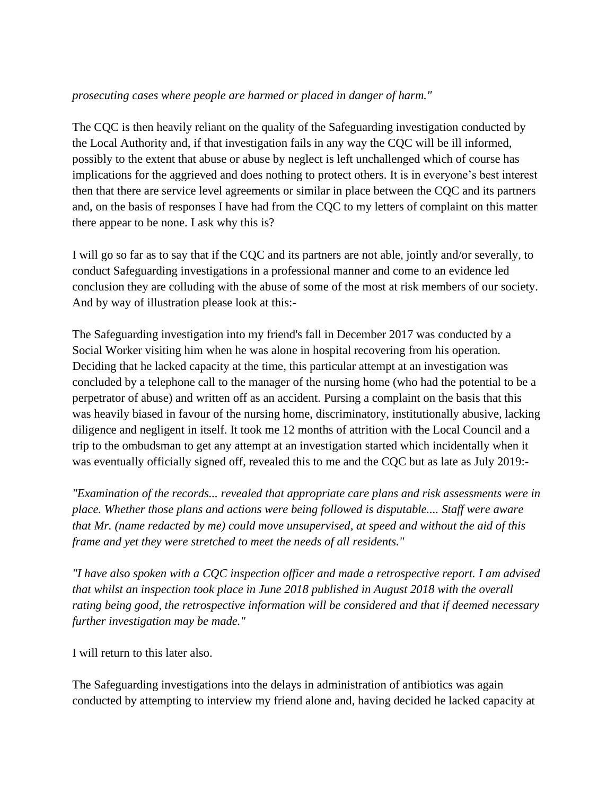## *prosecuting cases where people are harmed or placed in danger of harm."*

The CQC is then heavily reliant on the quality of the Safeguarding investigation conducted by the Local Authority and, if that investigation fails in any way the CQC will be ill informed, possibly to the extent that abuse or abuse by neglect is left unchallenged which of course has implications for the aggrieved and does nothing to protect others. It is in everyone's best interest then that there are service level agreements or similar in place between the CQC and its partners and, on the basis of responses I have had from the CQC to my letters of complaint on this matter there appear to be none. I ask why this is?

I will go so far as to say that if the CQC and its partners are not able, jointly and/or severally, to conduct Safeguarding investigations in a professional manner and come to an evidence led conclusion they are colluding with the abuse of some of the most at risk members of our society. And by way of illustration please look at this:-

The Safeguarding investigation into my friend's fall in December 2017 was conducted by a Social Worker visiting him when he was alone in hospital recovering from his operation. Deciding that he lacked capacity at the time, this particular attempt at an investigation was concluded by a telephone call to the manager of the nursing home (who had the potential to be a perpetrator of abuse) and written off as an accident. Pursing a complaint on the basis that this was heavily biased in favour of the nursing home, discriminatory, institutionally abusive, lacking diligence and negligent in itself. It took me 12 months of attrition with the Local Council and a trip to the ombudsman to get any attempt at an investigation started which incidentally when it was eventually officially signed off, revealed this to me and the CQC but as late as July 2019:-

*"Examination of the records... revealed that appropriate care plans and risk assessments were in place. Whether those plans and actions were being followed is disputable.... Staff were aware that Mr. (name redacted by me) could move unsupervised, at speed and without the aid of this frame and yet they were stretched to meet the needs of all residents."*

*"I have also spoken with a CQC inspection officer and made a retrospective report. I am advised that whilst an inspection took place in June 2018 published in August 2018 with the overall rating being good, the retrospective information will be considered and that if deemed necessary further investigation may be made."*

I will return to this later also.

The Safeguarding investigations into the delays in administration of antibiotics was again conducted by attempting to interview my friend alone and, having decided he lacked capacity at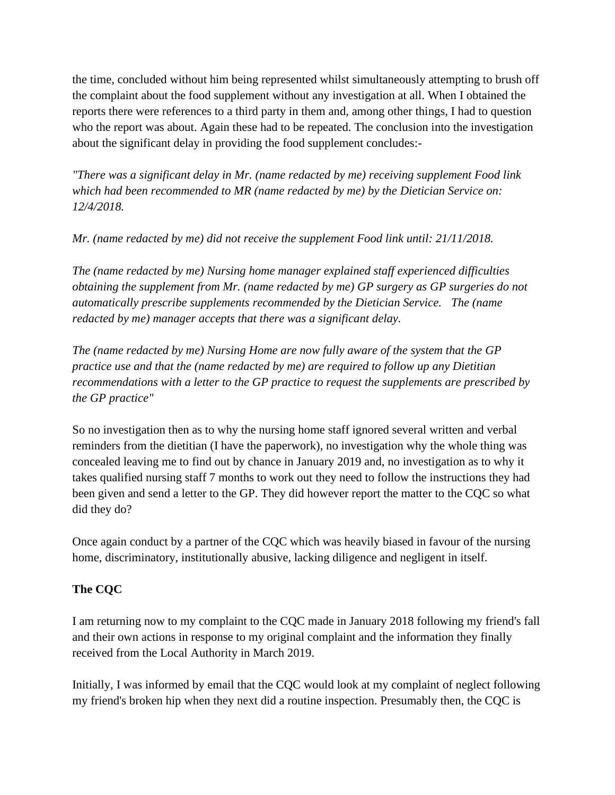the time, concluded without him being represented whilst simultaneously attempting to brush off the complaint about the food supplement without any investigation at all. When I obtained the reports there were references to a third party in them and, among other things, I had to question who the report was about. Again these had to be repeated. The conclusion into the investigation about the significant delay in providing the food supplement concludes:-

*"There was a significant delay in Mr. (name redacted by me) receiving supplement Food link which had been recommended to MR (name redacted by me) by the Dietician Service on: 12/4/2018.*

*Mr. (name redacted by me) did not receive the supplement Food link until: 21/11/2018.*

*The (name redacted by me) Nursing home manager explained staff experienced difficulties obtaining the supplement from Mr. (name redacted by me) GP surgery as GP surgeries do not automatically prescribe supplements recommended by the Dietician Service. The (name redacted by me) manager accepts that there was a significant delay.*

*The (name redacted by me) Nursing Home are now fully aware of the system that the GP practice use and that the (name redacted by me) are required to follow up any Dietitian recommendations with a letter to the GP practice to request the supplements are prescribed by the GP practice"*

So no investigation then as to why the nursing home staff ignored several written and verbal reminders from the dietitian (I have the paperwork), no investigation why the whole thing was concealed leaving me to find out by chance in January 2019 and, no investigation as to why it takes qualified nursing staff 7 months to work out they need to follow the instructions they had been given and send a letter to the GP. They did however report the matter to the CQC so what did they do?

Once again conduct by a partner of the CQC which was heavily biased in favour of the nursing home, discriminatory, institutionally abusive, lacking diligence and negligent in itself.

# **The CQC**

I am returning now to my complaint to the CQC made in January 2018 following my friend's fall and their own actions in response to my original complaint and the information they finally received from the Local Authority in March 2019.

Initially, I was informed by email that the CQC would look at my complaint of neglect following my friend's broken hip when they next did a routine inspection. Presumably then, the CQC is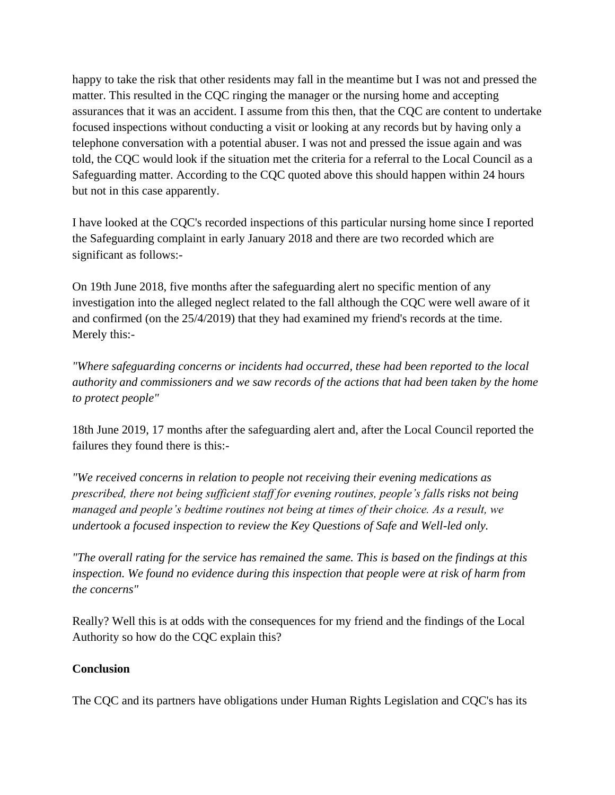happy to take the risk that other residents may fall in the meantime but I was not and pressed the matter. This resulted in the CQC ringing the manager or the nursing home and accepting assurances that it was an accident. I assume from this then, that the CQC are content to undertake focused inspections without conducting a visit or looking at any records but by having only a telephone conversation with a potential abuser. I was not and pressed the issue again and was told, the CQC would look if the situation met the criteria for a referral to the Local Council as a Safeguarding matter. According to the CQC quoted above this should happen within 24 hours but not in this case apparently.

I have looked at the CQC's recorded inspections of this particular nursing home since I reported the Safeguarding complaint in early January 2018 and there are two recorded which are significant as follows:-

On 19th June 2018, five months after the safeguarding alert no specific mention of any investigation into the alleged neglect related to the fall although the CQC were well aware of it and confirmed (on the 25/4/2019) that they had examined my friend's records at the time. Merely this:-

*"Where safeguarding concerns or incidents had occurred, these had been reported to the local authority and commissioners and we saw records of the actions that had been taken by the home to protect people"*

18th June 2019, 17 months after the safeguarding alert and, after the Local Council reported the failures they found there is this:-

*"We received concerns in relation to people not receiving their evening medications as prescribed, there not being sufficient staff for evening routines, people's falls risks not being managed and people's bedtime routines not being at times of their choice. As a result, we undertook a focused inspection to review the Key Questions of Safe and Well-led only.*

*"The overall rating for the service has remained the same. This is based on the findings at this inspection. We found no evidence during this inspection that people were at risk of harm from the concerns"* 

Really? Well this is at odds with the consequences for my friend and the findings of the Local Authority so how do the CQC explain this?

# **Conclusion**

The CQC and its partners have obligations under Human Rights Legislation and CQC's has its